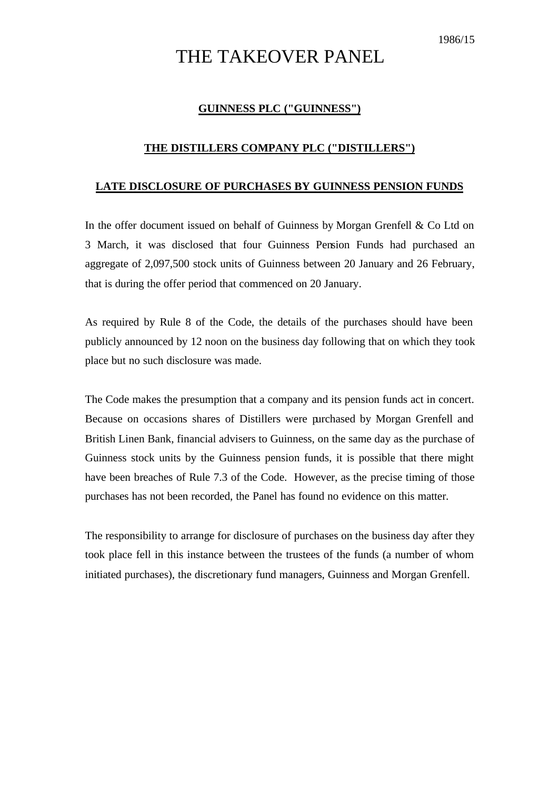## THE TAKEOVER PANEL

## **GUINNESS PLC ("GUINNESS")**

## **THE DISTILLERS COMPANY PLC ("DISTILLERS")**

## **LATE DISCLOSURE OF PURCHASES BY GUINNESS PENSION FUNDS**

In the offer document issued on behalf of Guinness by Morgan Grenfell & Co Ltd on 3 March, it was disclosed that four Guinness Pension Funds had purchased an aggregate of 2,097,500 stock units of Guinness between 20 January and 26 February, that is during the offer period that commenced on 20 January.

As required by Rule 8 of the Code, the details of the purchases should have been publicly announced by 12 noon on the business day following that on which they took place but no such disclosure was made.

The Code makes the presumption that a company and its pension funds act in concert. Because on occasions shares of Distillers were purchased by Morgan Grenfell and British Linen Bank, financial advisers to Guinness, on the same day as the purchase of Guinness stock units by the Guinness pension funds, it is possible that there might have been breaches of Rule 7.3 of the Code. However, as the precise timing of those purchases has not been recorded, the Panel has found no evidence on this matter.

The responsibility to arrange for disclosure of purchases on the business day after they took place fell in this instance between the trustees of the funds (a number of whom initiated purchases), the discretionary fund managers, Guinness and Morgan Grenfell.